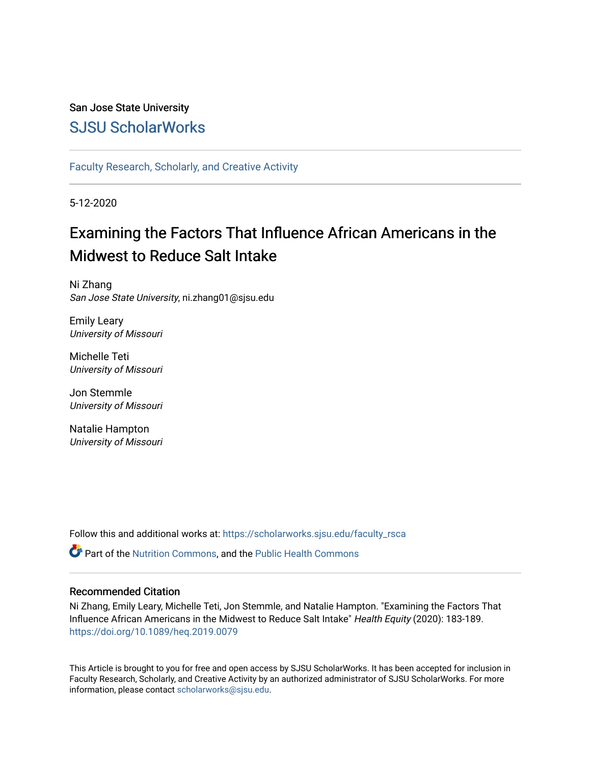## San Jose State University [SJSU ScholarWorks](https://scholarworks.sjsu.edu/)

[Faculty Research, Scholarly, and Creative Activity](https://scholarworks.sjsu.edu/faculty_rsca)

5-12-2020

## Examining the Factors That Influence African Americans in the Midwest to Reduce Salt Intake

Ni Zhang San Jose State University, ni.zhang01@sjsu.edu

Emily Leary University of Missouri

Michelle Teti University of Missouri

Jon Stemmle University of Missouri

Natalie Hampton University of Missouri

Follow this and additional works at: [https://scholarworks.sjsu.edu/faculty\\_rsca](https://scholarworks.sjsu.edu/faculty_rsca?utm_source=scholarworks.sjsu.edu%2Ffaculty_rsca%2F282&utm_medium=PDF&utm_campaign=PDFCoverPages) 

**P** Part of the [Nutrition Commons](http://network.bepress.com/hgg/discipline/95?utm_source=scholarworks.sjsu.edu%2Ffaculty_rsca%2F282&utm_medium=PDF&utm_campaign=PDFCoverPages), and the [Public Health Commons](http://network.bepress.com/hgg/discipline/738?utm_source=scholarworks.sjsu.edu%2Ffaculty_rsca%2F282&utm_medium=PDF&utm_campaign=PDFCoverPages)

## Recommended Citation

Ni Zhang, Emily Leary, Michelle Teti, Jon Stemmle, and Natalie Hampton. "Examining the Factors That Influence African Americans in the Midwest to Reduce Salt Intake" Health Equity (2020): 183-189. <https://doi.org/10.1089/heq.2019.0079>

This Article is brought to you for free and open access by SJSU ScholarWorks. It has been accepted for inclusion in Faculty Research, Scholarly, and Creative Activity by an authorized administrator of SJSU ScholarWorks. For more information, please contact [scholarworks@sjsu.edu.](mailto:scholarworks@sjsu.edu)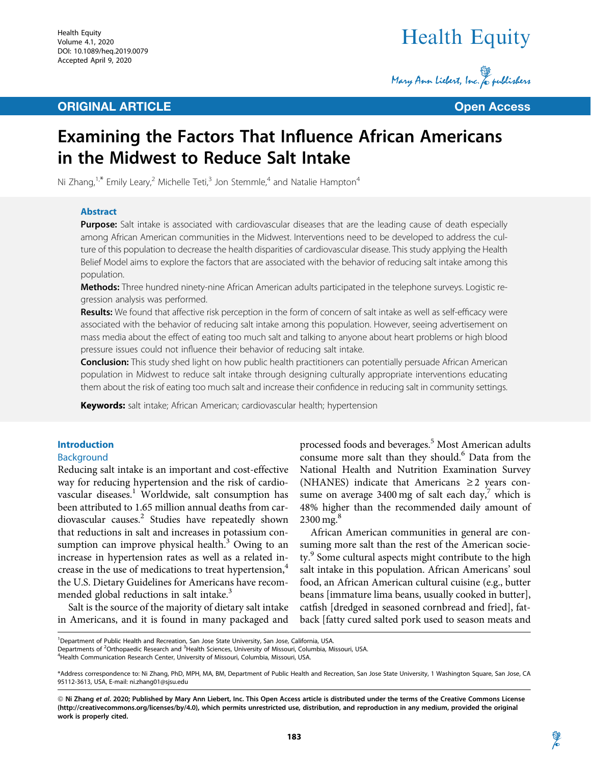## **ORIGINAL ARTICLE CONSUMING ARTICLE CONSUMING ACCESS**

# Health Equity

Mary Ann Liebert, Inc. & publishers

## Examining the Factors That Influence African Americans in the Midwest to Reduce Salt Intake

Ni Zhang, $1, *$  Emily Leary,<sup>2</sup> Michelle Teti,<sup>3</sup> Jon Stemmle,<sup>4</sup> and Natalie Hampton<sup>4</sup>

### Abstract

Purpose: Salt intake is associated with cardiovascular diseases that are the leading cause of death especially among African American communities in the Midwest. Interventions need to be developed to address the culture of this population to decrease the health disparities of cardiovascular disease. This study applying the Health Belief Model aims to explore the factors that are associated with the behavior of reducing salt intake among this population.

Methods: Three hundred ninety-nine African American adults participated in the telephone surveys. Logistic regression analysis was performed.

Results: We found that affective risk perception in the form of concern of salt intake as well as self-efficacy were associated with the behavior of reducing salt intake among this population. However, seeing advertisement on mass media about the effect of eating too much salt and talking to anyone about heart problems or high blood pressure issues could not influence their behavior of reducing salt intake.

**Conclusion:** This study shed light on how public health practitioners can potentially persuade African American population in Midwest to reduce salt intake through designing culturally appropriate interventions educating them about the risk of eating too much salt and increase their confidence in reducing salt in community settings.

**Keywords:** salt intake; African American; cardiovascular health; hypertension

## Introduction

## Background

Reducing salt intake is an important and cost-effective way for reducing hypertension and the risk of cardiovascular diseases.1 Worldwide, salt consumption has been attributed to 1.65 million annual deaths from cardiovascular causes.<sup>2</sup> Studies have repeatedly shown that reductions in salt and increases in potassium consumption can improve physical health.<sup>3</sup> Owing to an increase in hypertension rates as well as a related increase in the use of medications to treat hypertension,<sup>4</sup> the U.S. Dietary Guidelines for Americans have recommended global reductions in salt intake.<sup>3</sup>

Salt is the source of the majority of dietary salt intake in Americans, and it is found in many packaged and

processed foods and beverages.<sup>5</sup> Most American adults consume more salt than they should.<sup>6</sup> Data from the National Health and Nutrition Examination Survey (NHANES) indicate that Americans  $\geq 2$  years consume on average 3400 mg of salt each day, $^7$  which is 48% higher than the recommended daily amount of  $2300$  mg. $^{8}$ 

African American communities in general are consuming more salt than the rest of the American society.<sup>9</sup> Some cultural aspects might contribute to the high salt intake in this population. African Americans' soul food, an African American cultural cuisine (e.g., butter beans [immature lima beans, usually cooked in butter], catfish [dredged in seasoned cornbread and fried], fatback [fatty cured salted pork used to season meats and

<sup>&</sup>lt;sup>1</sup>Department of Public Health and Recreation, San Jose State University, San Jose, California, USA.

Departments of <sup>2</sup>Orthopaedic Research and <sup>3</sup>Health Sciences, University of Missouri, Columbia, Missouri, USA.<br><sup>4</sup>Health Communication Research Center, University of Missouri, Columbia, Missouri, USA.

<sup>&</sup>lt;sup>4</sup>Health Communication Research Center, University of Missouri, Columbia, Missouri, USA.

<sup>\*</sup>Address correspondence to: Ni Zhang, PhD, MPH, MA, BM, Department of Public Health and Recreation, San Jose State University, 1 Washington Square, San Jose, CA 95112-3613, USA, E-mail: ni.zhang01@sjsu.edu

<sup>©</sup> Ni Zhang et al. 2020; Published by Mary Ann Liebert, Inc. This Open Access article is distributed under the terms of the Creative Commons License ([http://creativecommons.org/licenses/by/4.0\)](http://creativecommons.org/licenses/by/4.0), which permits unrestricted use, distribution, and reproduction in any medium, provided the original work is properly cited.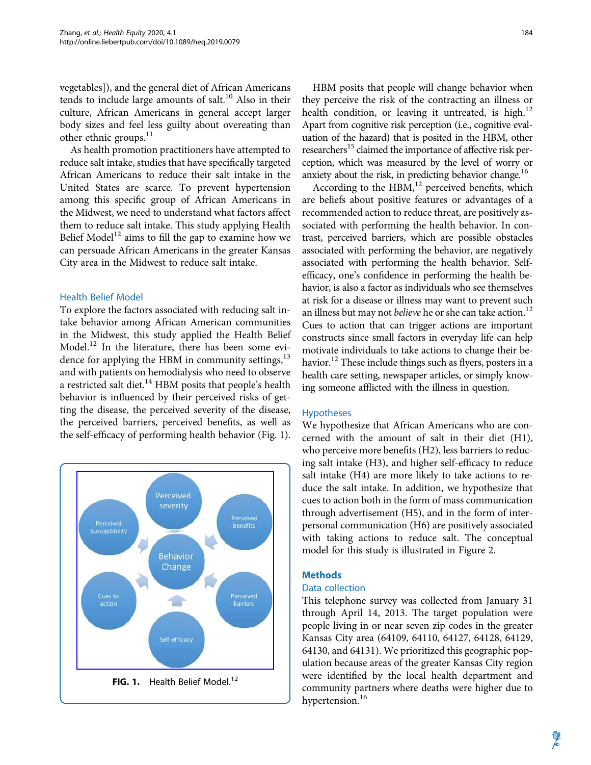vegetables]), and the general diet of African Americans tends to include large amounts of salt.<sup>10</sup> Also in their culture, African Americans in general accept larger body sizes and feel less guilty about overeating than other ethnic groups.<sup>11</sup>

As health promotion practitioners have attempted to reduce salt intake, studies that have specifically targeted African Americans to reduce their salt intake in the United States are scarce. To prevent hypertension among this specific group of African Americans in the Midwest, we need to understand what factors affect them to reduce salt intake. This study applying Health Belief Model<sup>12</sup> aims to fill the gap to examine how we can persuade African Americans in the greater Kansas City area in the Midwest to reduce salt intake.

## Health Belief Model

To explore the factors associated with reducing salt intake behavior among African American communities in the Midwest, this study applied the Health Belief Model. $^{12}$  In the literature, there has been some evidence for applying the HBM in community settings, $^{13}$ and with patients on hemodialysis who need to observe a restricted salt diet. $^{14}$  HBM posits that people's health behavior is influenced by their perceived risks of getting the disease, the perceived severity of the disease, the perceived barriers, perceived benefits, as well as the self-efficacy of performing health behavior (Fig. 1).



HBM posits that people will change behavior when they perceive the risk of the contracting an illness or health condition, or leaving it untreated, is high.<sup>12</sup> Apart from cognitive risk perception (i.e., cognitive evaluation of the hazard) that is posited in the HBM, other researchers<sup>15</sup> claimed the importance of affective risk perception, which was measured by the level of worry or anxiety about the risk, in predicting behavior change.<sup>16</sup>

According to the  $HBM$ ,<sup>12</sup> perceived benefits, which are beliefs about positive features or advantages of a recommended action to reduce threat, are positively associated with performing the health behavior. In contrast, perceived barriers, which are possible obstacles associated with performing the behavior, are negatively associated with performing the health behavior. Selfefficacy, one's confidence in performing the health behavior, is also a factor as individuals who see themselves at risk for a disease or illness may want to prevent such an illness but may not *believe* he or she can take action.<sup>12</sup> Cues to action that can trigger actions are important constructs since small factors in everyday life can help motivate individuals to take actions to change their behavior.<sup>12</sup> These include things such as flyers, posters in a health care setting, newspaper articles, or simply knowing someone afflicted with the illness in question.

### Hypotheses

We hypothesize that African Americans who are concerned with the amount of salt in their diet (H1), who perceive more benefits (H2), less barriers to reducing salt intake (H3), and higher self-efficacy to reduce salt intake (H4) are more likely to take actions to reduce the salt intake. In addition, we hypothesize that cues to action both in the form of mass communication through advertisement (H5), and in the form of interpersonal communication (H6) are positively associated with taking actions to reduce salt. The conceptual model for this study is illustrated in Figure 2.

## **Methods**

## Data collection

This telephone survey was collected from January 31 through April 14, 2013. The target population were people living in or near seven zip codes in the greater Kansas City area (64109, 64110, 64127, 64128, 64129, 64130, and 64131). We prioritized this geographic population because areas of the greater Kansas City region were identified by the local health department and community partners where deaths were higher due to hypertension.<sup>16</sup>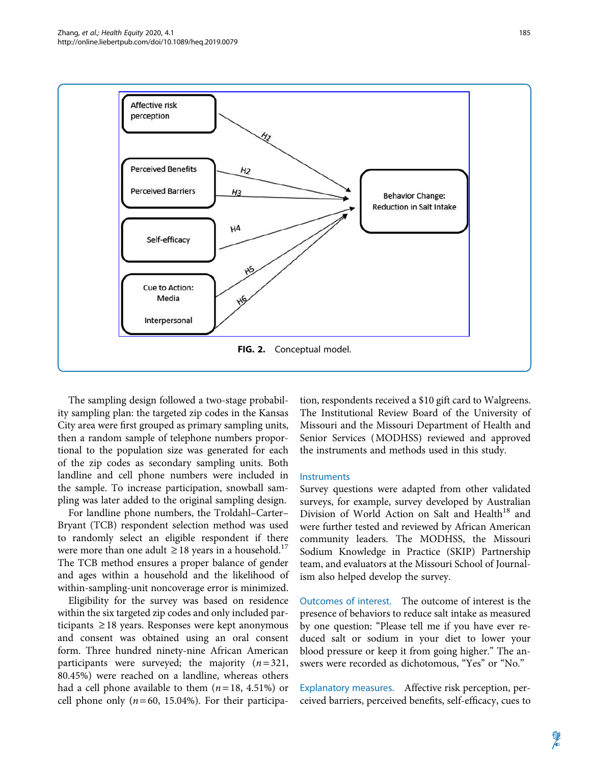

The sampling design followed a two-stage probability sampling plan: the targeted zip codes in the Kansas City area were first grouped as primary sampling units, then a random sample of telephone numbers proportional to the population size was generated for each of the zip codes as secondary sampling units. Both landline and cell phone numbers were included in the sample. To increase participation, snowball sampling was later added to the original sampling design.

For landline phone numbers, the Troldahl–Carter– Bryant (TCB) respondent selection method was used to randomly select an eligible respondent if there were more than one adult  $\geq 18$  years in a household.<sup>17</sup> The TCB method ensures a proper balance of gender and ages within a household and the likelihood of within-sampling-unit noncoverage error is minimized.

Eligibility for the survey was based on residence within the six targeted zip codes and only included participants  $\ge$  18 years. Responses were kept anonymous and consent was obtained using an oral consent form. Three hundred ninety-nine African American participants were surveyed; the majority  $(n=321,$ 80.45%) were reached on a landline, whereas others had a cell phone available to them  $(n=18, 4.51%)$  or cell phone only  $(n=60, 15.04%)$ . For their participation, respondents received a \$10 gift card to Walgreens. The Institutional Review Board of the University of Missouri and the Missouri Department of Health and Senior Services (MODHSS) reviewed and approved the instruments and methods used in this study.

## Instruments

Survey questions were adapted from other validated surveys, for example, survey developed by Australian Division of World Action on Salt and Health<sup>18</sup> and were further tested and reviewed by African American community leaders. The MODHSS, the Missouri Sodium Knowledge in Practice (SKIP) Partnership team, and evaluators at the Missouri School of Journalism also helped develop the survey.

Outcomes of interest. The outcome of interest is the presence of behaviors to reduce salt intake as measured by one question: "Please tell me if you have ever reduced salt or sodium in your diet to lower your blood pressure or keep it from going higher.'' The answers were recorded as dichotomous, "Yes" or "No."

Explanatory measures. Affective risk perception, perceived barriers, perceived benefits, self-efficacy, cues to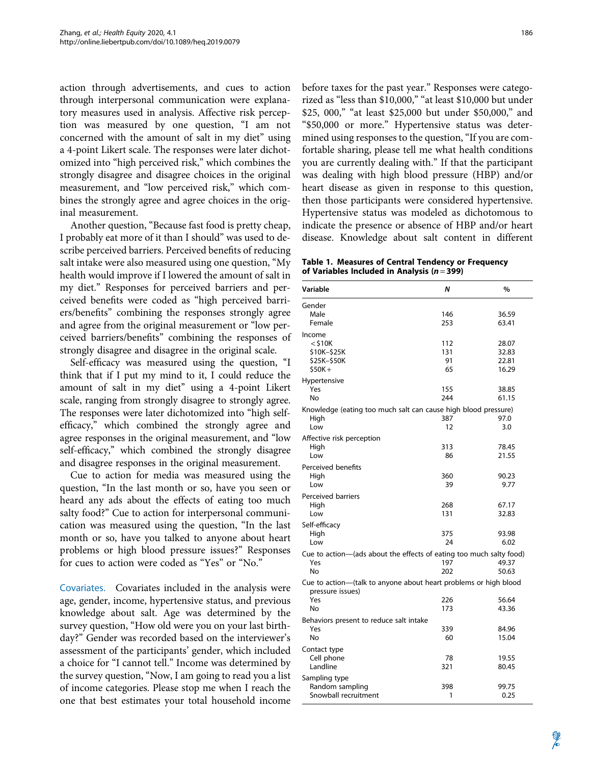action through advertisements, and cues to action through interpersonal communication were explanatory measures used in analysis. Affective risk perception was measured by one question, ''I am not concerned with the amount of salt in my diet'' using a 4-point Likert scale. The responses were later dichotomized into "high perceived risk," which combines the strongly disagree and disagree choices in the original measurement, and "low perceived risk," which combines the strongly agree and agree choices in the original measurement.

Another question, ''Because fast food is pretty cheap, I probably eat more of it than I should'' was used to describe perceived barriers. Perceived benefits of reducing salt intake were also measured using one question, ''My health would improve if I lowered the amount of salt in my diet.'' Responses for perceived barriers and perceived benefits were coded as ''high perceived barriers/benefits'' combining the responses strongly agree and agree from the original measurement or ''low perceived barriers/benefits'' combining the responses of strongly disagree and disagree in the original scale.

Self-efficacy was measured using the question, ''I think that if I put my mind to it, I could reduce the amount of salt in my diet" using a 4-point Likert scale, ranging from strongly disagree to strongly agree. The responses were later dichotomized into "high selfefficacy,'' which combined the strongly agree and agree responses in the original measurement, and ''low self-efficacy,'' which combined the strongly disagree and disagree responses in the original measurement.

Cue to action for media was measured using the question, ''In the last month or so, have you seen or heard any ads about the effects of eating too much salty food?'' Cue to action for interpersonal communication was measured using the question, ''In the last month or so, have you talked to anyone about heart problems or high blood pressure issues?'' Responses for cues to action were coded as ''Yes'' or ''No.''

Covariates. Covariates included in the analysis were age, gender, income, hypertensive status, and previous knowledge about salt. Age was determined by the survey question, "How old were you on your last birthday?'' Gender was recorded based on the interviewer's assessment of the participants' gender, which included a choice for ''I cannot tell.'' Income was determined by the survey question, ''Now, I am going to read you a list of income categories. Please stop me when I reach the one that best estimates your total household income before taxes for the past year.'' Responses were categorized as "less than \$10,000," "at least \$10,000 but under \$25, 000," "at least \$25,000 but under \$50,000," and ''\$50,000 or more.'' Hypertensive status was determined using responses to the question, "If you are comfortable sharing, please tell me what health conditions you are currently dealing with.'' If that the participant was dealing with high blood pressure (HBP) and/or heart disease as given in response to this question, then those participants were considered hypertensive. Hypertensive status was modeled as dichotomous to indicate the presence or absence of HBP and/or heart disease. Knowledge about salt content in different

Table 1. Measures of Central Tendency or Frequency of Variables Included in Analysis ( $n = 399$ )

| Variable                                                                                                                  | N                      | $\%$                             |  |  |  |  |  |
|---------------------------------------------------------------------------------------------------------------------------|------------------------|----------------------------------|--|--|--|--|--|
| Gender<br>Male<br>Female                                                                                                  | 146<br>253             | 36.59<br>63.41                   |  |  |  |  |  |
| Income<br>$<$ \$10K<br>\$10K-\$25K<br>\$25K-\$50K<br>$$50K+$                                                              | 112<br>131<br>91<br>65 | 28.07<br>32.83<br>22.81<br>16.29 |  |  |  |  |  |
| Hypertensive<br>Yes<br>No                                                                                                 | 155<br>244             | 38.85<br>61.15                   |  |  |  |  |  |
| Knowledge (eating too much salt can cause high blood pressure)<br>High<br>Low<br>Affective risk perception<br>High<br>Low | 387<br>12<br>313<br>86 | 97.0<br>3.0<br>78.45<br>21.55    |  |  |  |  |  |
| Perceived benefits<br>High<br>Low                                                                                         | 360<br>39              | 90.23<br>9.77                    |  |  |  |  |  |
| Perceived barriers<br>High<br>Low                                                                                         | 268<br>131             | 67.17<br>32.83                   |  |  |  |  |  |
| Self-efficacy<br>High<br>Low                                                                                              | 375<br>24              | 93.98<br>6.02                    |  |  |  |  |  |
| Cue to action-(ads about the effects of eating too much salty food)<br>Yes<br>No                                          | 197<br>202             | 49.37<br>50.63                   |  |  |  |  |  |
| Cue to action-(talk to anyone about heart problems or high blood<br>pressure issues)<br>Yes                               | 226                    | 56.64                            |  |  |  |  |  |
| No                                                                                                                        | 173                    | 43.36                            |  |  |  |  |  |
| Behaviors present to reduce salt intake<br>Yes<br>No                                                                      | 339<br>60              | 84.96<br>15.04                   |  |  |  |  |  |
| Contact type<br>Cell phone<br>Landline                                                                                    | 78<br>321              | 19.55<br>80.45                   |  |  |  |  |  |
| Sampling type<br>Random sampling<br>Snowball recruitment                                                                  | 398<br>1               | 99.75<br>0.25                    |  |  |  |  |  |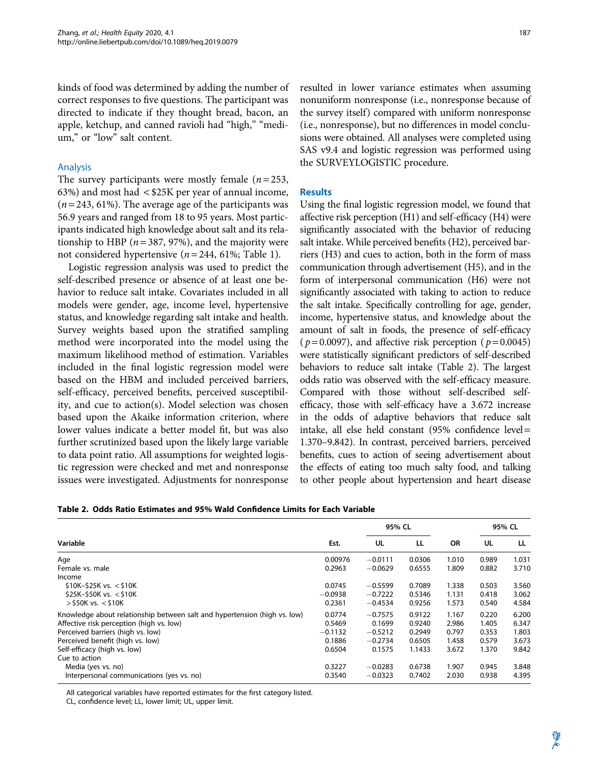kinds of food was determined by adding the number of correct responses to five questions. The participant was directed to indicate if they thought bread, bacon, an apple, ketchup, and canned ravioli had "high," "medium," or "low" salt content.

### Analysis

The survey participants were mostly female  $(n=253,$ 63%) and most had < \$25K per year of annual income,  $(n = 243, 61\%)$ . The average age of the participants was 56.9 years and ranged from 18 to 95 years. Most participants indicated high knowledge about salt and its relationship to HBP ( $n = 387, 97\%$ ), and the majority were not considered hypertensive ( $n = 244$ , 61%; Table 1).

Logistic regression analysis was used to predict the self-described presence or absence of at least one behavior to reduce salt intake. Covariates included in all models were gender, age, income level, hypertensive status, and knowledge regarding salt intake and health. Survey weights based upon the stratified sampling method were incorporated into the model using the maximum likelihood method of estimation. Variables included in the final logistic regression model were based on the HBM and included perceived barriers, self-efficacy, perceived benefits, perceived susceptibility, and cue to action(s). Model selection was chosen based upon the Akaike information criterion, where lower values indicate a better model fit, but was also further scrutinized based upon the likely large variable to data point ratio. All assumptions for weighted logistic regression were checked and met and nonresponse issues were investigated. Adjustments for nonresponse resulted in lower variance estimates when assuming nonuniform nonresponse (i.e., nonresponse because of the survey itself) compared with uniform nonresponse (i.e., nonresponse), but no differences in model conclusions were obtained. All analyses were completed using SAS v9.4 and logistic regression was performed using the SURVEYLOGISTIC procedure.

#### **Results**

Using the final logistic regression model, we found that affective risk perception (H1) and self-efficacy (H4) were significantly associated with the behavior of reducing salt intake. While perceived benefits (H2), perceived barriers (H3) and cues to action, both in the form of mass communication through advertisement (H5), and in the form of interpersonal communication (H6) were not significantly associated with taking to action to reduce the salt intake. Specifically controlling for age, gender, income, hypertensive status, and knowledge about the amount of salt in foods, the presence of self-efficacy (  $p = 0.0097$ ), and affective risk perception (  $p = 0.0045$ ) were statistically significant predictors of self-described behaviors to reduce salt intake (Table 2). The largest odds ratio was observed with the self-efficacy measure. Compared with those without self-described selfefficacy, those with self-efficacy have a 3.672 increase in the odds of adaptive behaviors that reduce salt intake, all else held constant (95% confidence level = 1.370–9.842). In contrast, perceived barriers, perceived benefits, cues to action of seeing advertisement about the effects of eating too much salty food, and talking to other people about hypertension and heart disease

| Table 2. Odds Ratio Estimates and 95% Wald Confidence Limits for Each Variable |
|--------------------------------------------------------------------------------|
|--------------------------------------------------------------------------------|

| Variable                                                                  |           | 95% CL    |        |           | 95% CL |       |
|---------------------------------------------------------------------------|-----------|-----------|--------|-----------|--------|-------|
|                                                                           | Est.      | UL        | LL     | <b>OR</b> | UL     | LL    |
| Age                                                                       | 0.00976   | $-0.0111$ | 0.0306 | 1.010     | 0.989  | 1.031 |
| Female vs. male                                                           | 0.2963    | $-0.0629$ | 0.6555 | 1.809     | 0.882  | 3.710 |
| Income                                                                    |           |           |        |           |        |       |
| $$10K-$25K vs. < $10K$                                                    | 0.0745    | $-0.5599$ | 0.7089 | 1.338     | 0.503  | 3.560 |
| $$25K-$50K vs. < $10K$                                                    | $-0.0938$ | $-0.7222$ | 0.5346 | 1.131     | 0.418  | 3.062 |
| $>$ \$50K vs. $<$ \$10K                                                   | 0.2361    | $-0.4534$ | 0.9256 | 1.573     | 0.540  | 4.584 |
| Knowledge about relationship between salt and hypertension (high vs. low) | 0.0774    | $-0.7575$ | 0.9122 | 1.167     | 0.220  | 6.200 |
| Affective risk perception (high vs. low)                                  | 0.5469    | 0.1699    | 0.9240 | 2.986     | 1.405  | 6.347 |
| Perceived barriers (high vs. low)                                         | $-0.1132$ | $-0.5212$ | 0.2949 | 0.797     | 0.353  | 1.803 |
| Perceived benefit (high vs. low)                                          | 0.1886    | $-0.2734$ | 0.6505 | 1.458     | 0.579  | 3.673 |
| Self-efficacy (high vs. low)                                              | 0.6504    | 0.1575    | 1.1433 | 3.672     | 1.370  | 9.842 |
| Cue to action                                                             |           |           |        |           |        |       |
| Media (yes vs. no)                                                        | 0.3227    | $-0.0283$ | 0.6738 | 1.907     | 0.945  | 3.848 |
| Interpersonal communications (yes vs. no)                                 | 0.3540    | $-0.0323$ | 0.7402 | 2.030     | 0.938  | 4.395 |

All categorical variables have reported estimates for the first category listed.

CL, confidence level; LL, lower limit; UL, upper limit.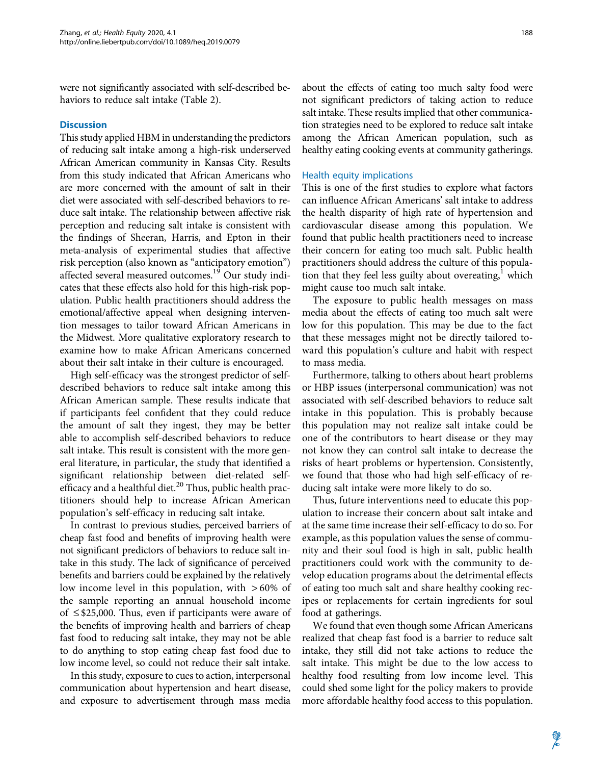were not significantly associated with self-described behaviors to reduce salt intake (Table 2).

### **Discussion**

This study applied HBM in understanding the predictors of reducing salt intake among a high-risk underserved African American community in Kansas City. Results from this study indicated that African Americans who are more concerned with the amount of salt in their diet were associated with self-described behaviors to reduce salt intake. The relationship between affective risk perception and reducing salt intake is consistent with the findings of Sheeran, Harris, and Epton in their meta-analysis of experimental studies that affective risk perception (also known as ''anticipatory emotion'') affected several measured outcomes.<sup>19</sup> Our study indicates that these effects also hold for this high-risk population. Public health practitioners should address the emotional/affective appeal when designing intervention messages to tailor toward African Americans in the Midwest. More qualitative exploratory research to examine how to make African Americans concerned about their salt intake in their culture is encouraged.

High self-efficacy was the strongest predictor of selfdescribed behaviors to reduce salt intake among this African American sample. These results indicate that if participants feel confident that they could reduce the amount of salt they ingest, they may be better able to accomplish self-described behaviors to reduce salt intake. This result is consistent with the more general literature, in particular, the study that identified a significant relationship between diet-related selfefficacy and a healthful diet. $^{20}$  Thus, public health practitioners should help to increase African American population's self-efficacy in reducing salt intake.

In contrast to previous studies, perceived barriers of cheap fast food and benefits of improving health were not significant predictors of behaviors to reduce salt intake in this study. The lack of significance of perceived benefits and barriers could be explained by the relatively low income level in this population, with  $>60\%$  of the sample reporting an annual household income of  $\leq$  \$25,000. Thus, even if participants were aware of the benefits of improving health and barriers of cheap fast food to reducing salt intake, they may not be able to do anything to stop eating cheap fast food due to low income level, so could not reduce their salt intake.

In this study, exposure to cues to action, interpersonal communication about hypertension and heart disease, and exposure to advertisement through mass media about the effects of eating too much salty food were not significant predictors of taking action to reduce salt intake. These results implied that other communication strategies need to be explored to reduce salt intake among the African American population, such as healthy eating cooking events at community gatherings.

#### Health equity implications

This is one of the first studies to explore what factors can influence African Americans' salt intake to address the health disparity of high rate of hypertension and cardiovascular disease among this population. We found that public health practitioners need to increase their concern for eating too much salt. Public health practitioners should address the culture of this population that they feel less guilty about overeating, $<sup>1</sup>$  which</sup> might cause too much salt intake.

The exposure to public health messages on mass media about the effects of eating too much salt were low for this population. This may be due to the fact that these messages might not be directly tailored toward this population's culture and habit with respect to mass media.

Furthermore, talking to others about heart problems or HBP issues (interpersonal communication) was not associated with self-described behaviors to reduce salt intake in this population. This is probably because this population may not realize salt intake could be one of the contributors to heart disease or they may not know they can control salt intake to decrease the risks of heart problems or hypertension. Consistently, we found that those who had high self-efficacy of reducing salt intake were more likely to do so.

Thus, future interventions need to educate this population to increase their concern about salt intake and at the same time increase their self-efficacy to do so. For example, as this population values the sense of community and their soul food is high in salt, public health practitioners could work with the community to develop education programs about the detrimental effects of eating too much salt and share healthy cooking recipes or replacements for certain ingredients for soul food at gatherings.

We found that even though some African Americans realized that cheap fast food is a barrier to reduce salt intake, they still did not take actions to reduce the salt intake. This might be due to the low access to healthy food resulting from low income level. This could shed some light for the policy makers to provide more affordable healthy food access to this population.